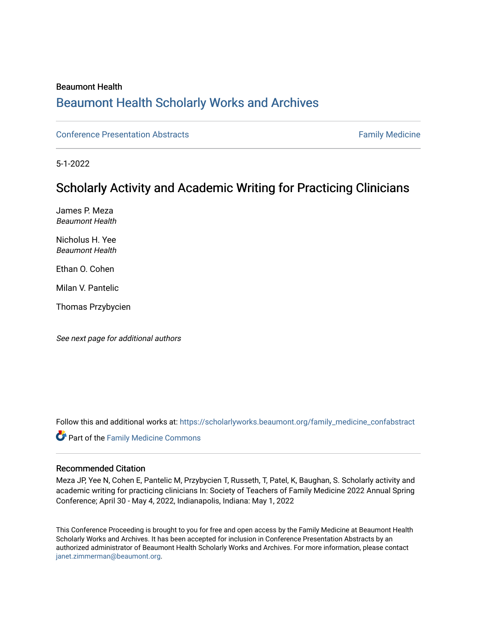### Beaumont Health

# [Beaumont Health Scholarly Works and Archives](https://scholarlyworks.beaumont.org/)

[Conference Presentation Abstracts](https://scholarlyworks.beaumont.org/family_medicine_confabstract) **Family Medicine** Family Medicine

5-1-2022

# Scholarly Activity and Academic Writing for Practicing Clinicians

James P. Meza Beaumont Health

Nicholus H. Yee Beaumont Health

Ethan O. Cohen

Milan V. Pantelic

Thomas Przybycien

See next page for additional authors

Follow this and additional works at: [https://scholarlyworks.beaumont.org/family\\_medicine\\_confabstract](https://scholarlyworks.beaumont.org/family_medicine_confabstract?utm_source=scholarlyworks.beaumont.org%2Ffamily_medicine_confabstract%2F6&utm_medium=PDF&utm_campaign=PDFCoverPages) 

Part of the [Family Medicine Commons](http://network.bepress.com/hgg/discipline/1354?utm_source=scholarlyworks.beaumont.org%2Ffamily_medicine_confabstract%2F6&utm_medium=PDF&utm_campaign=PDFCoverPages) 

#### Recommended Citation

Meza JP, Yee N, Cohen E, Pantelic M, Przybycien T, Russeth, T, Patel, K, Baughan, S. Scholarly activity and academic writing for practicing clinicians In: Society of Teachers of Family Medicine 2022 Annual Spring Conference; April 30 - May 4, 2022, Indianapolis, Indiana: May 1, 2022

This Conference Proceeding is brought to you for free and open access by the Family Medicine at Beaumont Health Scholarly Works and Archives. It has been accepted for inclusion in Conference Presentation Abstracts by an authorized administrator of Beaumont Health Scholarly Works and Archives. For more information, please contact [janet.zimmerman@beaumont.org](mailto:janet.zimmerman@beaumont.org).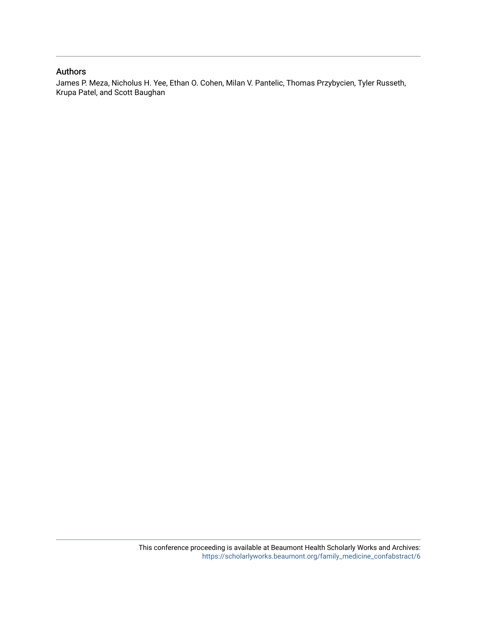#### Authors

James P. Meza, Nicholus H. Yee, Ethan O. Cohen, Milan V. Pantelic, Thomas Przybycien, Tyler Russeth, Krupa Patel, and Scott Baughan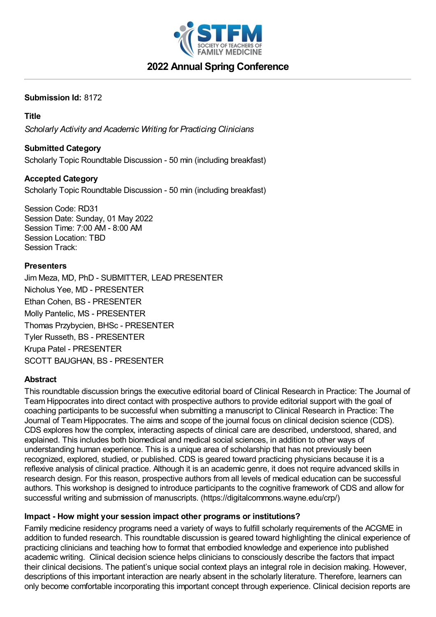

# **2022 Annual Spring Conference**

## **Submission Id:** 8172

## **Title**

*Scholarly Activity and Academic Writing for Practicing Clinicians*

## **Submitted Category**

Scholarly Topic Roundtable Discussion - 50 min (including breakfast)

## **Accepted Category**

Scholarly Topic Roundtable Discussion - 50 min (including breakfast)

Session Code: RD31 Session Date: Sunday, 01 May 2022 Session Time: 7:00 AM - 8:00 AM Session Location: TBD Session Track:

### **Presenters**

Jim Meza, MD, PhD - SUBMITTER, LEAD PRESENTER Nicholus Yee, MD - PRESENTER Ethan Cohen, BS - PRESENTER Molly Pantelic, MS - PRESENTER Thomas Przybycien, BHSc - PRESENTER Tyler Russeth, BS - PRESENTER Krupa Patel - PRESENTER SCOTT BAUGHAN, BS - PRESENTER

### **Abstract**

This roundtable discussion brings the executive editorial board of Clinical Research in Practice: The Journal of Team Hippocrates into direct contact with prospective authors to provide editorial support with the goal of coaching participants to be successful when submitting a manuscript to Clinical Research in Practice: The Journal of Team Hippocrates. The aims and scope of the journal focus on clinical decision science (CDS). CDS explores how the complex, interacting aspects of clinical care are described, understood, shared, and explained. This includes both biomedical and medical social sciences, in addition to other ways of understanding human experience. This is a unique area of scholarship that has not previously been recognized, explored, studied, or published. CDS is geared toward practicing physicians because it is a reflexive analysis of clinical practice. Although it is an academic genre, it does not require advanced skills in research design. For this reason, prospective authors from all levels of medical education can be successful authors. This workshop is designed to introduce participants to the cognitive framework of CDS and allow for successful writing and submission of manuscripts. (https://digitalcommons.wayne.edu/crp/)

### **Impact - How might your session impact other programs or institutions?**

Family medicine residency programs need a variety of ways to fulfill scholarly requirements of the ACGME in addition to funded research. This roundtable discussion is geared toward highlighting the clinical experience of practicing clinicians and teaching how to format that embodied knowledge and experience into published academic writing. Clinical decision science helps clinicians to consciously describe the factors that impact their clinical decisions. The patient's unique social context plays an integral role in decision making. However, descriptions of this important interaction are nearly absent in the scholarly literature. Therefore, learners can only become comfortable incorporating this important concept through experience. Clinical decision reports are